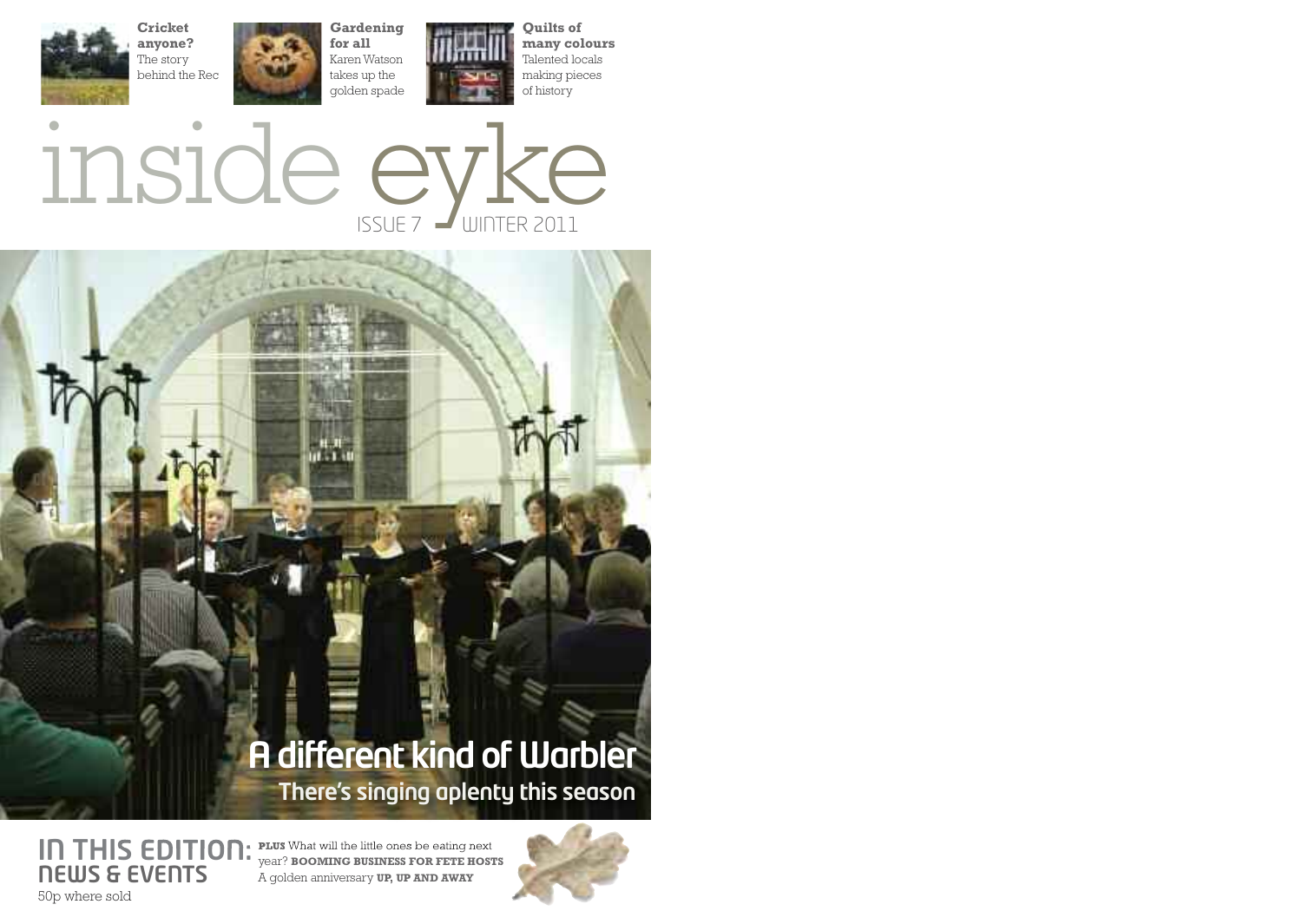



15 L J

## **There's singing aplenty this season A** different kind of Warbler

**IN THIS EDITION:** PLUS What will the little ones be eating next **NEWS & EVENTS** 50p where sold year? **BOOMING BUSINESS FOR FETE HOSTS** A golden anniversary **UP, UP AND AWAY**

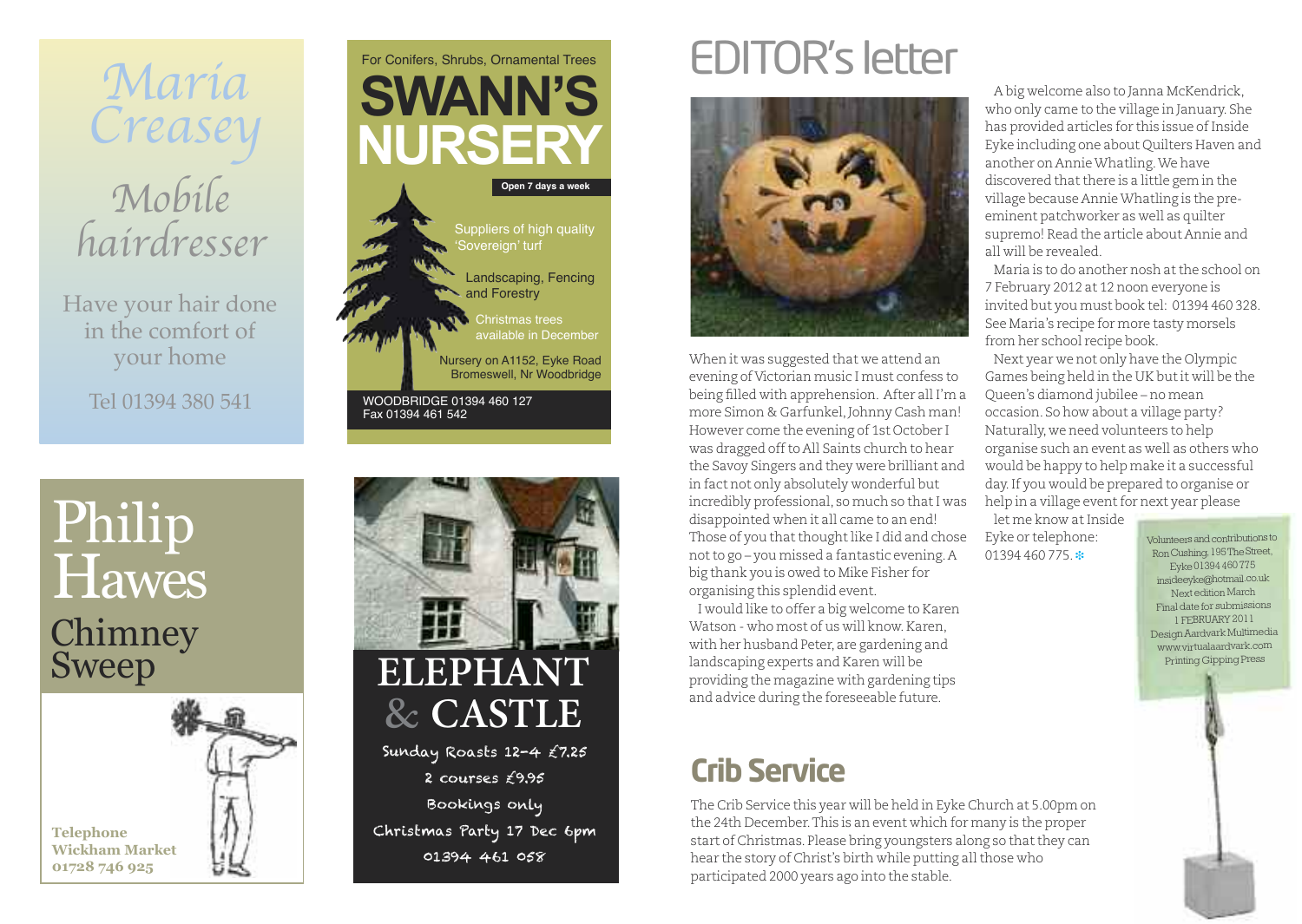

Have your hair done in the comfort of your home

Tel 01394 380 541

# Chimney Sweep Philip **Hawes**







# EDITOR's letter



When it was suggested that we attend an evening of Victorian music I must confess to being filled with apprehension. After all I'm a more Simon & Garfunkel, Johnny Cash man! However come the evening of 1st October I was dragged off to All Saints church to hear the Savoy Singers and they were brilliant and in fact not only absolutely wonderful but incredibly professional, so much so thatI was disappointed when it all came to an end! Those of you that thought like I did and chose not to go – you missed a fantastic evening. A big thank you is owed to Mike Fisher for organising this splendid event.

I would like to offer a big welcome to Karen Watson - who most of us will know. Karen, with her husband Peter, are gardening and landscaping experts and Karen will be providing the magazine with gardening tips and advice during the foreseeable future.

## **Crib Service**

The Crib Service this year will be held in Eyke Church at 5.00pm on the 24th December.This is an event which for many is the proper start of Christmas. Please bring youngsters along so that they can hear the story of Christ's birth while putting all those who participated 2000 years ago into the stable.

A big welcome also to Janna McKendrick, who only came to the village in January. She has provided articles for this issue of Inside Eyke including one about Quilters Haven and another on AnnieWhatling.We have discovered that there is a little gem in the village because AnnieWhatling is the preeminent patchworker as well as quilter supremo! Read the article about Annie and all will be revealed.

Maria is to do another nosh atthe school on 7 February 2012 at 12 noon everyone is invited but you must book tel: 01394 460 328. See Maria's recipe for more tasty morsels from her school recipe book.

Next year we not only have the Olympic Games being held in the UK butit will be the Queen's diamond jubilee – no mean occasion. So how about a village party? Naturally, we need volunteers to help organise such an event as well as others who would be happy to help make it a successful day.If you would be prepared to organise or help in a village event for next year please

let me know at Inside Eyke or telephone: 01394 460 775. **❉**

Volunteersandcontributions to Ron Cushing, 195The Street Eyke01394460775 [insideeyke@hotmail.co.uk](mailto:insideeyke@hotmail.co.uk) Next edition March Final date for submissions 1 FEBRUARY 2011 DesignAardvark Multimedia www.virtualaardvark.com Printing Gipping Press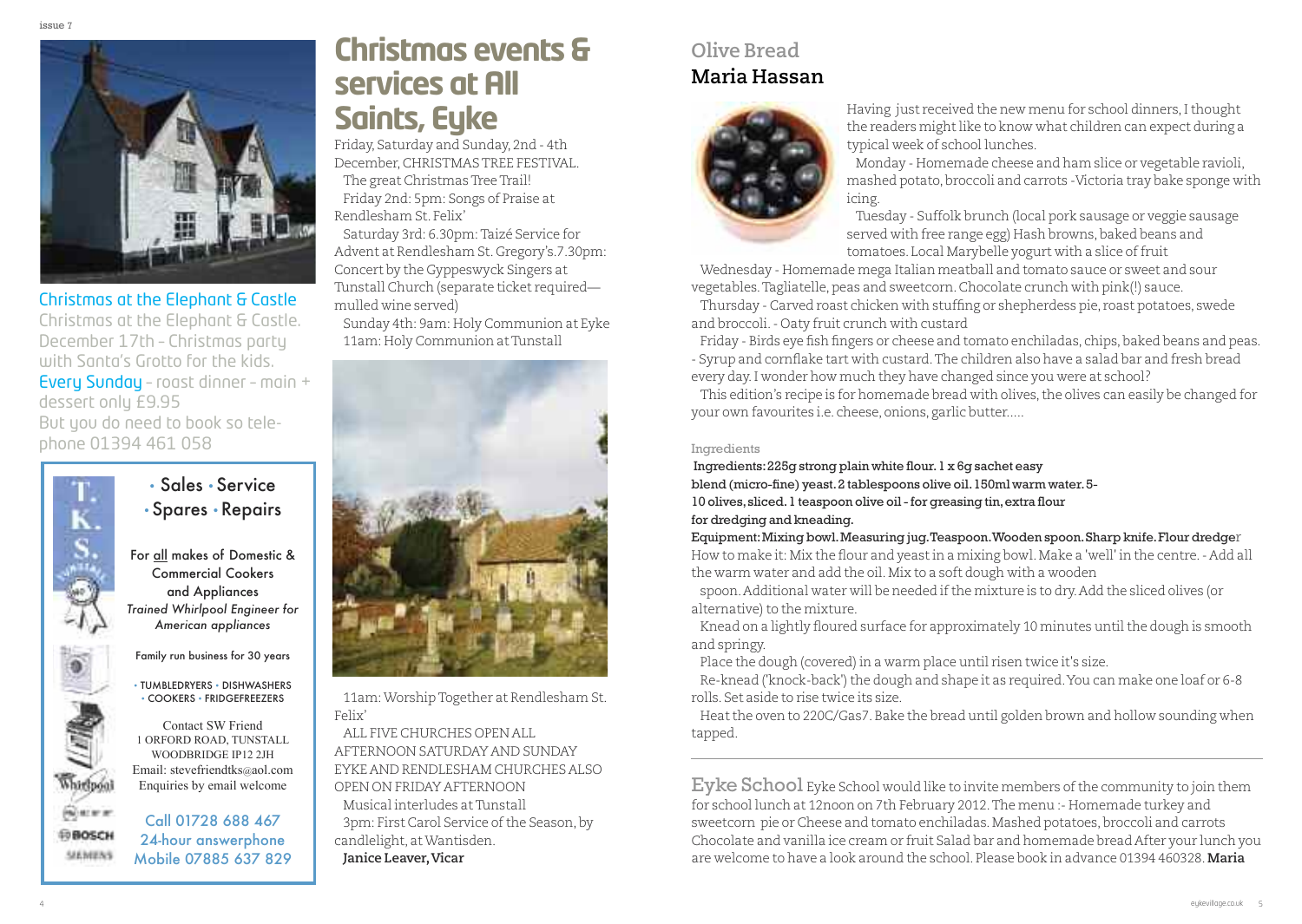

#### Christmas at the Elephant & Castle

Christmas at the Elephant & Castle. December 17th – Christmas party with Santa's Grotto for the kids. Every Sunday – roast dinner – main + dessert only £9.95 But you do need to book so telephone 01394 461 058



### • Sales • Service • Spares • Repairs

For all makes of Domestic & Commercial Cookers and Appliances *Trained Whirlpool Engineer for American appliances*

Family run business for 30 years

• TUMBLEDRYERS • DISHWASHERS • COOKERS • FRIDGEFREEZERS

Contact SW Friend 1 OrFOrd rOad, TunSTall WOOdbridge iP12 2JH email: stevefriendtks@aol.com Enquiries by email welcome

#### Call 01728 688 467 24-hour answerphone Mobile 07885 637 829

### **Christmas events& services** at All **Saints, Eyke**

Friday, Saturday and Sunday, 2nd - 4th December,CHRISTMASTREE FESTIVAL. The great Christmas Tree Trail! Friday 2nd: 5pm: Songs of Praise at Rendlesham St. Felix'

Saturday 3rd: 6.30pm:Taizé Service for Advent at Rendlesham St. Gregory's.7.30pm: Concert by the Gyppeswyck Singers at Tunstall Church (separate ticket required mulled wine served)

Sunday 4th: 9am: Holy Communion at Eyke 11am: Holy Communion at Tunstall



11am:WorshipTogether at Rendlesham St. Felix'

ALL FIVE CHURCHES OPENALL AFTERNOON SATURDAY AND SUNDAY EYKE AND RENDLESHAM CHURCHES ALSO OPEN ON FRIDAY AFTERNOON Musical interludes atTunstall 3pm: First Carol Service of the Season, by candlelight, atWantisden. **Janice Leaver, Vicar** 

### **Olive Bread Maria Hassan**



Having just received the new menu for school dinners, I thought the readers might like to know what children can expect during a typical week of school lunches.

Monday - Homemade cheese and ham slice or vegetable ravioli, mashed potato,broccoli and carrots -Victoria tray bake sponge with icing.

Tuesday - Suffolk brunch (local pork sausage or veggie sausage served with free range egg) Hash browns, baked beans and tomatoes. Local Marybelle yogurt with a slice of fruit

Wednesday - Homemade mega Italian meatball and tomato sauce or sweet and sour vegetables. Tagliatelle, peas and sweetcorn. Chocolate crunch with pink(!) sauce.

Thursday - Carved roast chicken with stuffing or shepherdess pie, roast potatoes, swede and broccoli.- Oaty fruit crunch with custard

Friday - Birds eye fish fingers or cheese and tomato enchiladas, chips, baked beans and peas. - Syrup and cornflake tart with custard.The children also have a salad bar and fresh bread every day.I wonder how much they have changed since you were at school?

This edition's recipe is for homemade bread with olives, the olives can easily be changed for your own favourites i.e. cheese, onions, garlic butter.....

#### Ingredients

Ingredients:225g strong plain white flour.1 x 6g sachet easy blend (micro-fine) yeast.2 tablespoons olive oil.150ml warm water.5- 10 olives, sliced. 1 teaspoon olive oil - for greasing tin, extra flour for dredging and kneading.

Equipment:Mixing bowl.Measuring jug.Teaspoon.Wooden spoon.Sharp knife.Flour dredger How to make it: Mix the flour and yeastin a mixing bowl.Make a 'well' in the centre.- Add all the warm water and add the oil.Mix to a soft dough with a wooden

spoon. Additional water will be needed if the mixture is to dry. Add the sliced olives (or alternative) to the mixture.

Knead on a lightly floured surface for approximately 10 minutes until the dough is smooth and springy.

Place the dough (covered) in a warm place until risen twice it's size.

Re-knead ('knock-back') the dough and shape it as required. You can make one loaf or 6-8 rolls. Set aside to rise twice its size.

Heatthe oven to 220C/Gas7.Bake the bread until golden brown and hollow sounding when tapped.

Eyke School Eyke School would like to invite members of the community to join them for school lunch at 12noon on 7th February 2012.The menu :- Homemade turkey and sweetcorn pie or Cheese and tomato enchiladas. Mashed potatoes, broccoli and carrots Chocolate and vanilla ice cream or fruit Salad bar and homemade bread After your lunch you are welcome to have a look around the school. Please book in advance 01394 460328.**Maria**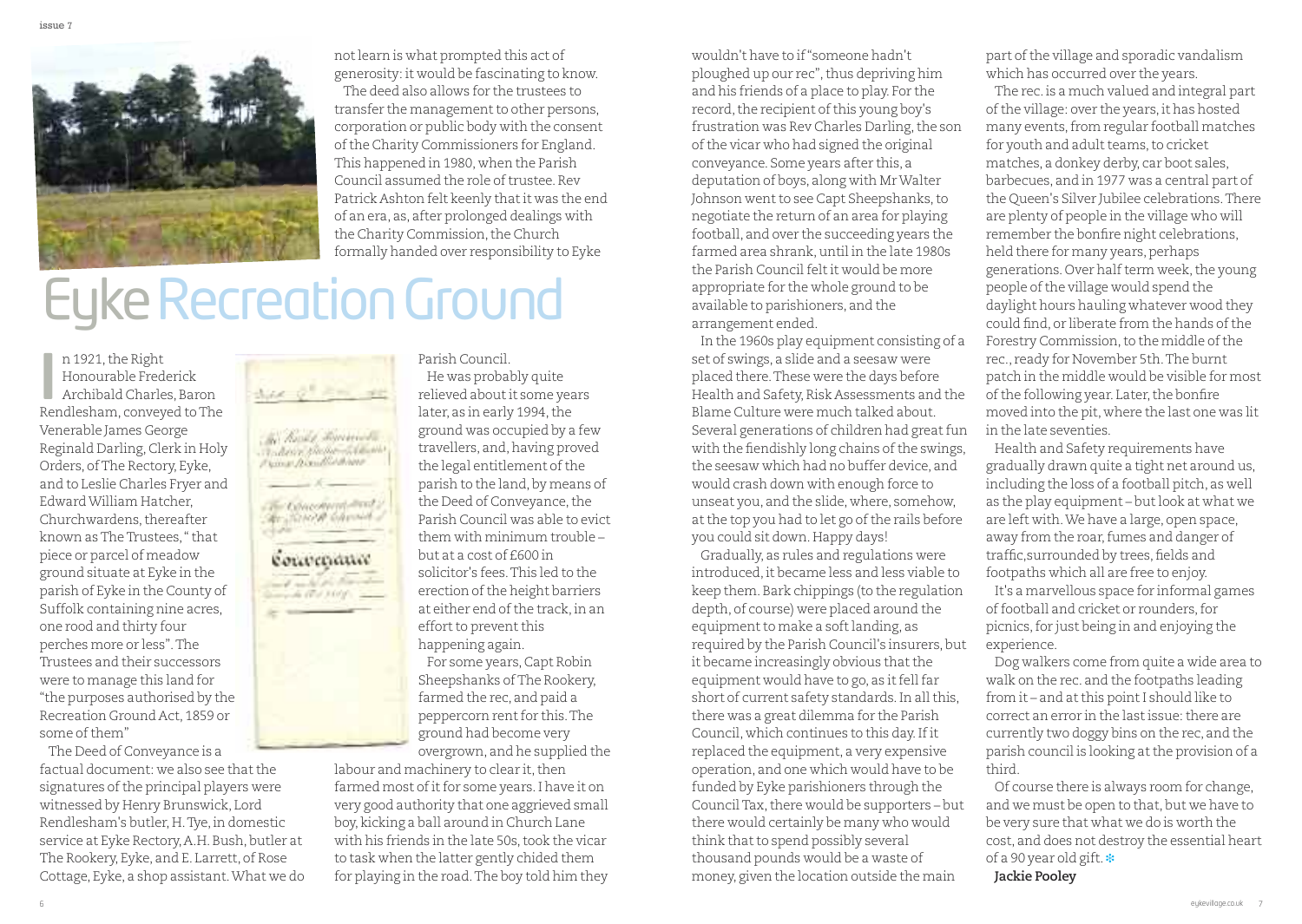

notlearn is what prompted this act of generosity: it would be fascinating to know. The deed also allows for the trustees to transfer the management to other persons, corporation or public body with the consent of the Charity Commissioners for England. This happened in 1980, when the Parish Council assumed the role of trustee. Rev Patrick Ashton felt keenly thatit was the end of an era, as, after prolonged dealings with the Charity Commission, the Church formally handed over responsibility to Eyke

# **Eyke Recreation Ground**

n 1921, the Right Honourable Frederick Archibald Charles, Baron n 1921, the Right<br>Honourable Frederick<br>Archibald Charles, Baron<br>Rendlesham, conveyed to The Venerable James George Reginald Darling, Clerk in Holy Orders, ofThe Rectory, Eyke, and to Leslie Charles Fryer and EdwardWilliam Hatcher, Churchwardens,thereafter known asTheTrustees,"that piece or parcel of meadow ground situate at Eyke in the parish of Eyke in the County of Suffolk containing nine acres, one rood and thirty four perches more or less".The Trustees and their successors were to manage this land for "the purposes authorised by the Recreation Ground Act, 1859 or some of them"

The Deed of Conveyance is a factual document: we also see that the signatures of the principal players were witnessed by Henry Brunswick, Lord Rendlesham's butler, H. Tye, in domestic service at Eyke Rectory, A.H. Bush, butler at The Rookery, Eyke, and E. Larrett, of Rose Cottage, Eyke, a shop assistant.What we do



Parish Council. He was probably quite relieved aboutit some years later, as in early 1994, the ground was occupied by a few travellers, and, having proved the legal entitlement of the parish to the land, by means of the Deed of Conveyance, the Parish Council was able to evict them with minimum trouble – but at a cost of £600 in solicitor's fees.This led to the erection of the height barriers at either end of the track, in an effort to prevent this happening again. For some years,Capt Robin Sheepshanks ofThe Rookery,

farmed the rec, and paid a peppercorn rent for this. The ground had become very overgrown, and he supplied the

labour and machinery to clear it, then farmed most of it for some years. I have it on very good authority that one aggrieved small boy, kicking a ball around in Church Lane with his friends in the late 50s, took the vicar to task when the latter gently chided them for playing in the road.The boy told him they

wouldn't have to if"someone hadn't ploughed up our rec",thus depriving him and his friends of a place to play. For the record, the recipient of this young boy's frustration was Rev Charles Darling,the son of the vicar who had signed the original conveyance. Some years after this, a deputation of boys, along with MrWalter Johnson went to see Capt Sheepshanks, to negotiate the return of an area for playing football, and over the succeeding years the farmed area shrank, until in the late 1980s the Parish Council felt it would be more appropriate for the whole ground to be available to parishioners, and the arrangement ended.

In the 1960s play equipment consisting of a set of swings, a slide and a seesaw were placed there.These were the days before Health and Safety, Risk Assessments and the Blame Culture were much talked about. Several generations of children had great fun with the fiendishly long chains of the swings, the seesaw which had no buffer device, and would crash down with enough force to unseat you, and the slide, where, somehow, at the top you had to let go of the rails before you could sit down.Happy days!

Gradually, as rules and regulations were introduced,it became less and less viable to keep them.Bark chippings (to the regulation depth, of course) were placed around the equipment to make a soft landing, as required by the Parish Council's insurers, but it became increasingly obvious that the equipment would have to go, as it fell far short of current safety standards. In all this, there was a great dilemma for the Parish Council, which continues to this day.Ifit replaced the equipment, a very expensive operation, and one which would have to be funded by Eyke parishioners through the Council Tax, there would be supporters - but there would certainly be many who would think that to spend possibly several thousand pounds would be a waste of money, given the location outside the main

part of the village and sporadic vandalism which has occurred over the years.

The rec.is a much valued and integral part of the village: over the years, it has hosted many events, from regular football matches for youth and adult teams, to cricket matches, a donkey derby, car boot sales, barbecues, and in 1977 was a central part of the Queen's Silver Jubilee celebrations.There are plenty of people in the village who will remember the bonfire night celebrations, held there for many years, perhaps generations. Over half term week, the young people of the village would spend the daylight hours hauling whatever wood they could find, or liberate from the hands ofthe Forestry Commission, to the middle of the rec., ready for November 5th.The burnt patch in the middle would be visible for most of the following year. Later, the bonfire moved into the pit, where the last one was lit in the late seventies.

Health and Safety requirements have gradually drawn quite a tight net around us, including the loss of a football pitch, as well as the play equipment – butlook at what we are left with.We have a large, open space, away from the roar, fumes and danger of traffic, surrounded by trees, fields and footpaths which all are free to enjoy.

It's a marvellous space for informal games offootball and cricket or rounders,for picnics,for just being in and enjoying the experience.

Dog walkers come from quite a wide area to walk on the rec. and the footpaths leading from it – and at this point I should like to correct an error in the lastissue:there are currently two doggy bins on the rec, and the parish council is looking atthe provision of a third.

Of course there is always room for change, and we must be open to that, but we have to be very sure that what we do is worth the cost, and does not destroy the essential heart of a 90 year old gift. **❉ Jackie Pooley**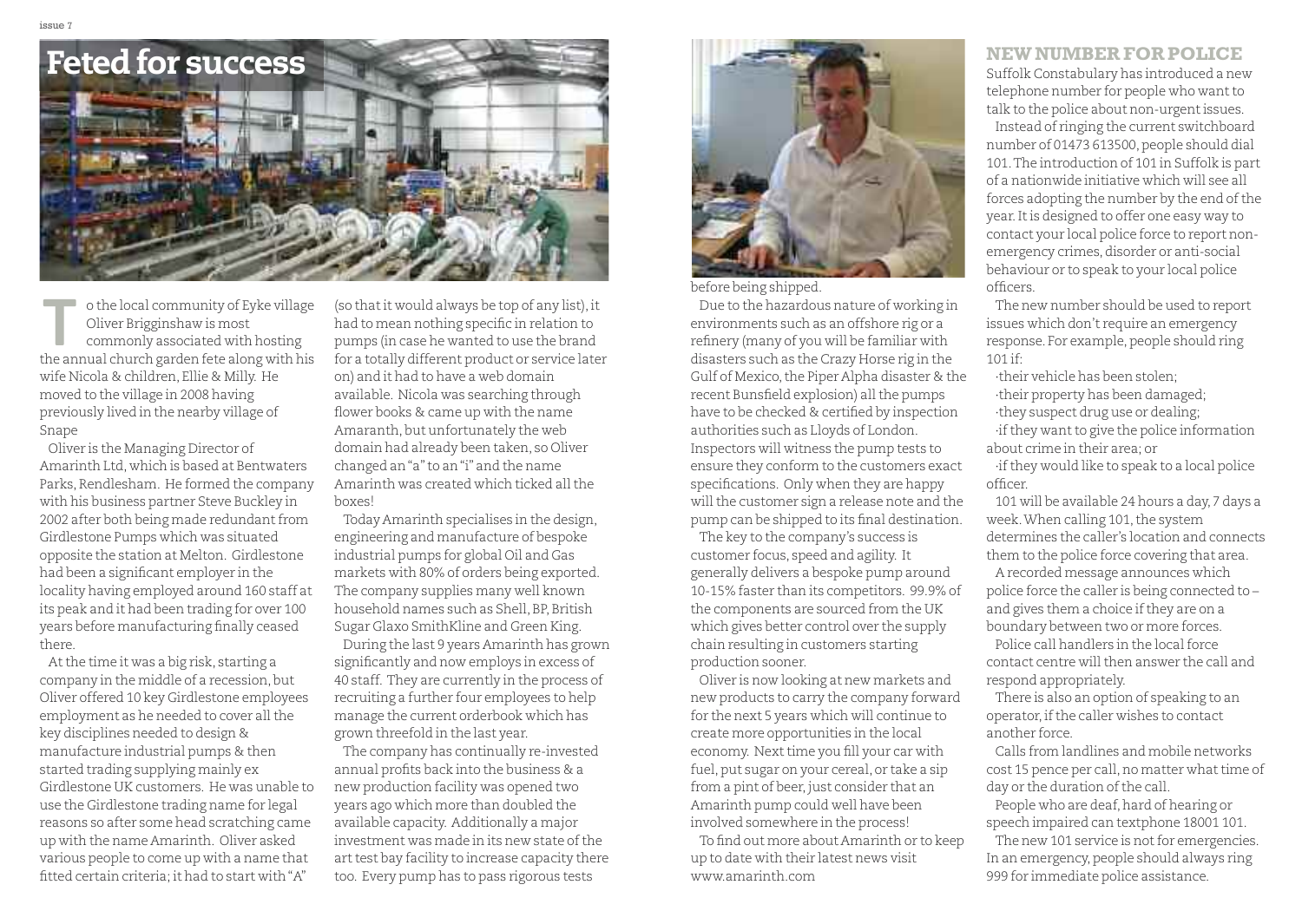

o the local community of Eyke village Oliver Brigginshaw is most commonly associated with hosting o the local community of Eyke village<br>Oliver Brigginshaw is most<br>commonly associated with hosting<br>the annual church garden fete along with his wife Nicola & children, Ellie & Milly. He moved to the village in 2008 having previously lived in the nearby village of Snape

Oliver is the Managing Director of Amarinth Ltd, which is based at Bentwaters Parks, Rendlesham. He formed the company with his business partner Steve Buckley in 2002 after both being made redundant from Girdlestone Pumps which was situated opposite the station at Melton. Girdlestone had been a significant employer in the locality having employed around 160 staff at its peak and it had been trading for over 100 years before manufacturing finally ceased there.

Atthe time it was a big risk, starting a company in the middle of a recession, but Oliver offered 10 key Girdlestone employees employment as he needed to cover all the key disciplines needed to design & manufacture industrial pumps & then started trading supplying mainly ex Girdlestone UK customers. He was unable to use the Girdlestone trading name for legal reasons so after some head scratching came up with the name Amarinth. Oliver asked various people to come up with a name that fitted certain criteria; it had to start with"A"

(so thatit would always be top of any list),it had to mean nothing specific in relation to pumps (in case he wanted to use the brand for a totally different product or service later on) and it had to have a web domain available. Nicola was searching through flower books & came up with the name Amaranth, but unfortunately the web domain had already been taken, so Oliver changed an"a"to an"i" and the name Amarinth was created which ticked all the boxes!

Today Amarinth specialises in the design, engineering and manufacture of bespoke industrial pumps for global Oil and Gas markets with 80% of orders being exported. The company supplies many well known household names such as Shell,BP,British Sugar Glaxo SmithKline and Green King. During the last 9 years Amarinth has grown significantly and now employs in excess of 40 staff. They are currently in the process of recruiting a further four employees to help manage the current orderbook which has grown threefold in the last year.

The company has continually re-invested annual profits back into the business & a new production facility was opened two years ago which more than doubled the available capacity. Additionally a major investment was made in its new state of the art test bay facility to increase capacity there too. Every pump has to pass rigorous tests



before being shipped.

Due to the hazardous nature of working in environments such as an offshore rig or a refinery (many of you will be familiar with disasters such as the Crazy Horse rig in the Gulf of Mexico, the Piper Alpha disaster & the recent Bunsfield explosion) all the pumps have to be checked & certified by inspection authorities such as Lloyds of London. Inspectors will witness the pump tests to ensure they conform to the customers exact specifications. Only when they are happy will the customer sign a release note and the pump can be shipped to its final destination.

The key to the company's success is customer focus, speed and agility. It generally delivers a bespoke pump around 10-15% faster than its competitors. 99.9% of the components are sourced from the UK which gives better control over the supply chain resulting in customers starting production sooner.

Oliver is now looking at new markets and new products to carry the company forward for the next 5 years which will continue to create more opportunities in the local economy. Next time you fill your car with fuel, put sugar on your cereal, or take a sip from a pint of beer, just consider that an Amarinth pump could well have been involved somewhere in the process!

To find out more about Amarinth or to keep up to date with their latest news visit www.amarinth.com

#### **NEWNUMBER FOR POLICE**

Suffolk Constabulary has introduced a new telephone number for people who want to talk to the police about non-urgentissues.

Instead of ringing the current switchboard number of 01473 613500, people should dial 101.The introduction of 101 in Suffolk is part of a nationwide initiative which will see all forces adopting the number by the end of the year.Itis designed to offer one easy way to contact your local police force to report nonemergency crimes,disorder or anti-social behaviour or to speak to your local police officers.

The new number should be used to report issues which don't require an emergency response. For example, people should ring 101 if:

·their vehicle has been stolen; ·their property has been damaged; ·they suspect drug use or dealing;  $\cdot$ if they want to give the police information about crime in their area; or

·ifthey would like to speak to a local police officer.

101 will be available 24 hours a day, 7 days a week. When calling 101, the system determines the caller's location and connects them to the police force covering that area.

A recorded message announces which police force the caller is being connected to – and gives them a choice if they are on a boundary between two or more forces.

Police call handlers in the local force contact centre will then answer the call and respond appropriately.

There is also an option of speaking to an operator, if the caller wishes to contact another force.

Calls from landlines and mobile networks cost 15 pence per call, no matter what time of day or the duration of the call.

People who are deaf, hard of hearing or speech impaired can textphone 18001 101.

The new 101 service is not for emergencies. In an emergency, people should always ring 999 for immediate police assistance.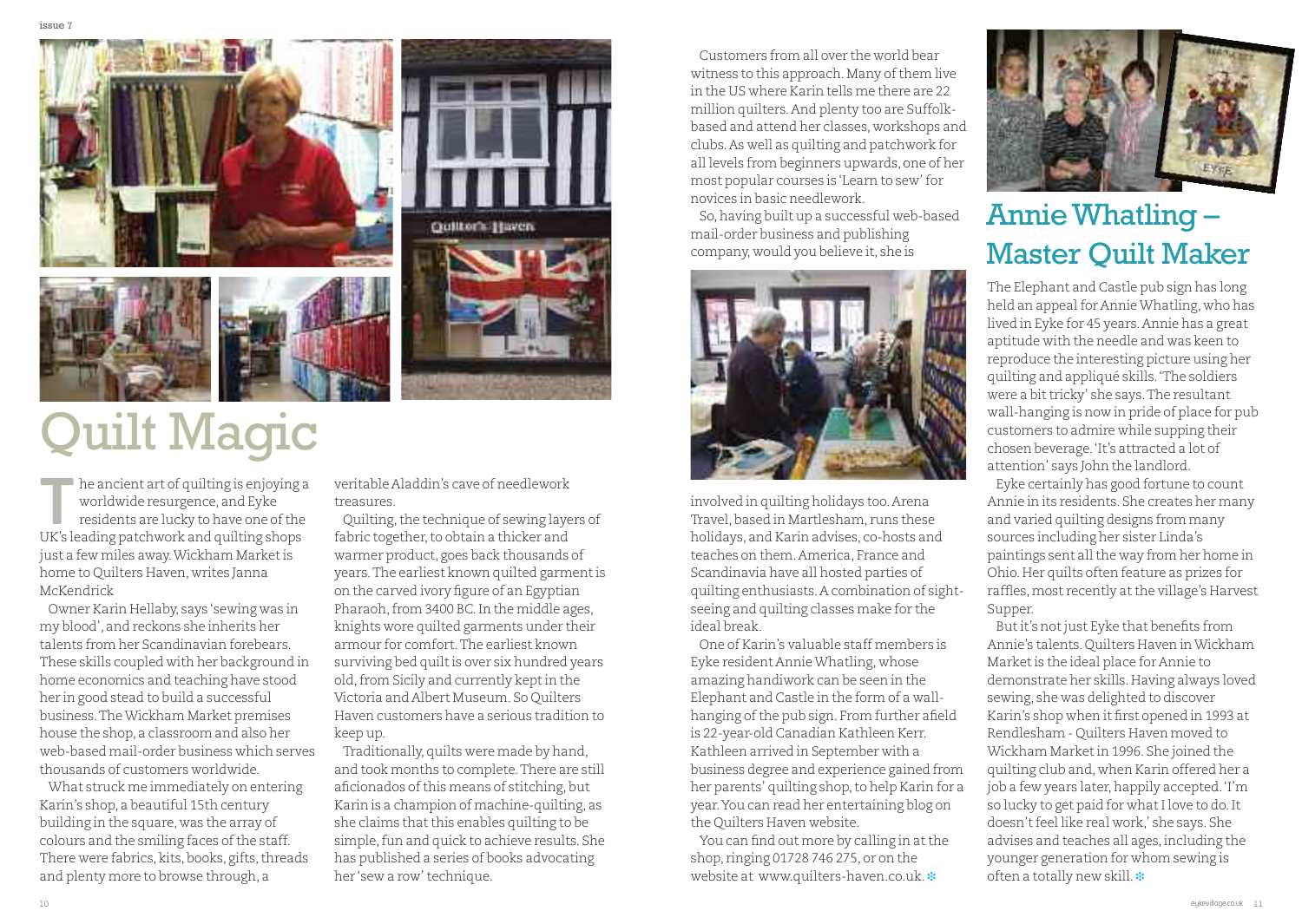

# **Duilt Magic**

 $\blacksquare$  he ancient art of quilting is enjoying a worldwide resurgence, and Eyke residents are lucky to have one of the Interaction and art of quilting is enjoying<br>
worldwide resurgence, and Eyke<br>
residents are lucky to have one of the<br>
UK's leading patchwork and quilting shops just a few miles away.Wickham Marketis home to Quilters Haven, writes Janna McKendrick

Owner Karin Hellaby, says 'sewing was in my blood', and reckons she inherits her talents from her Scandinavian forebears. These skills coupled with her background in home economics and teaching have stood her in good stead to build a successful business.TheWickham Market premises house the shop, a classroom and also her web-based mail-order business which serves thousands of customers worldwide.

What struck me immediately on entering Karin's shop, a beautiful 15th century building in the square, was the array of colours and the smiling faces of the staff. There were fabrics, kits, books, gifts, threads and plenty more to browse through, a

veritable Aladdin's cave of needlework treasures.

Quilting,the technique of sewing layers of fabric together, to obtain a thicker and warmer product, goes back thousands of years.The earliest known quilted garmentis on the carved ivory figure of an Egyptian Pharaoh, from 3400 BC. In the middle ages, knights wore quilted garments under their armour for comfort.The earliest known surviving bed quilt is over six hundred years old, from Sicily and currently kept in the Victoria and Albert Museum. So Quilters Haven customers have a serious tradition to keep up.

Traditionally,quilts were made by hand, and took months to complete.There are still aficionados of this means of stitching, but Karin is a champion of machine-quilting, as she claims that this enables quilting to be simple, fun and quick to achieve results. She has published a series of books advocating her 'sew a row'technique.

Customers from all over the world bear witness to this approach. Many of them live in the US where Karin tells me there are 22 million quilters.And plenty too are Suffolkbased and attend her classes, workshops and clubs.As well as quilting and patchwork for all levels from beginners upwards, one of her most popular courses is 'Learn to sew'for novices in basic needlework.

So,having built up a successful web-based mail-order business and publishing company, would you believe it, she is



involved in quilting holidays too.Arena Travel,based in Martlesham, runs these holidays, and Karin advises, co-hosts and teaches on them.America, France and Scandinavia have all hosted parties of quilting enthusiasts.A combination of sightseeing and quilting classes make for the ideal break.

One of Karin's valuable staff members is Eyke resident AnnieWhatling, whose amazing handiwork can be seen in the Elephant and Castle in the form of a wallhanging of the pub sign. From further afield is 22-year-old Canadian Kathleen Kerr. Kathleen arrived in September with a business degree and experience gained from her parents' quilting shop, to help Karin for a year.You can read her entertaining blog on the Quilters Haven website.

You can find out more by calling in at the shop, ringing 01728 746 275, or on the website at www.quilters-haven.co.uk. **❉**



## AnnieWhatling – Master Quilt Maker

The Elephant and Castle pub sign has long held an appeal for Annie Whatling, who has lived in Eyke for 45 years.Annie has a great aptitude with the needle and was keen to reproduce the interesting picture using her quilting and appliqué skills.'The soldiers were a bit tricky' she says. The resultant wall-hanging is now in pride of place for pub customers to admire while supping their chosen beverage.'It's attracted a lot of attention' says John the landlord.

Eyke certainly has good fortune to count Annie in its residents. She creates her many and varied quilting designs from many sources including her sister Linda's paintings sent all the way from her home in Ohio.Her quilts often feature as prizes for raffles, most recently at the village's Harvest Supper.

But it's not just Eyke that benefits from Annie's talents.Quilters Haven inWickham Marketis the ideal place for Annie to demonstrate her skills.Having always loved sewing, she was delighted to discover Karin's shop when it first opened in 1993 at Rendlesham - Quilters Haven moved to Wickham Marketin 1996. She joined the quilting club and, when Karin offered her a job a few years later, happily accepted. 'I'm so lucky to get paid for what I love to do. It doesn't feel like real work,' she says. She advises and teaches all ages,including the younger generation for whom sewing is often a totally new skill. **❉**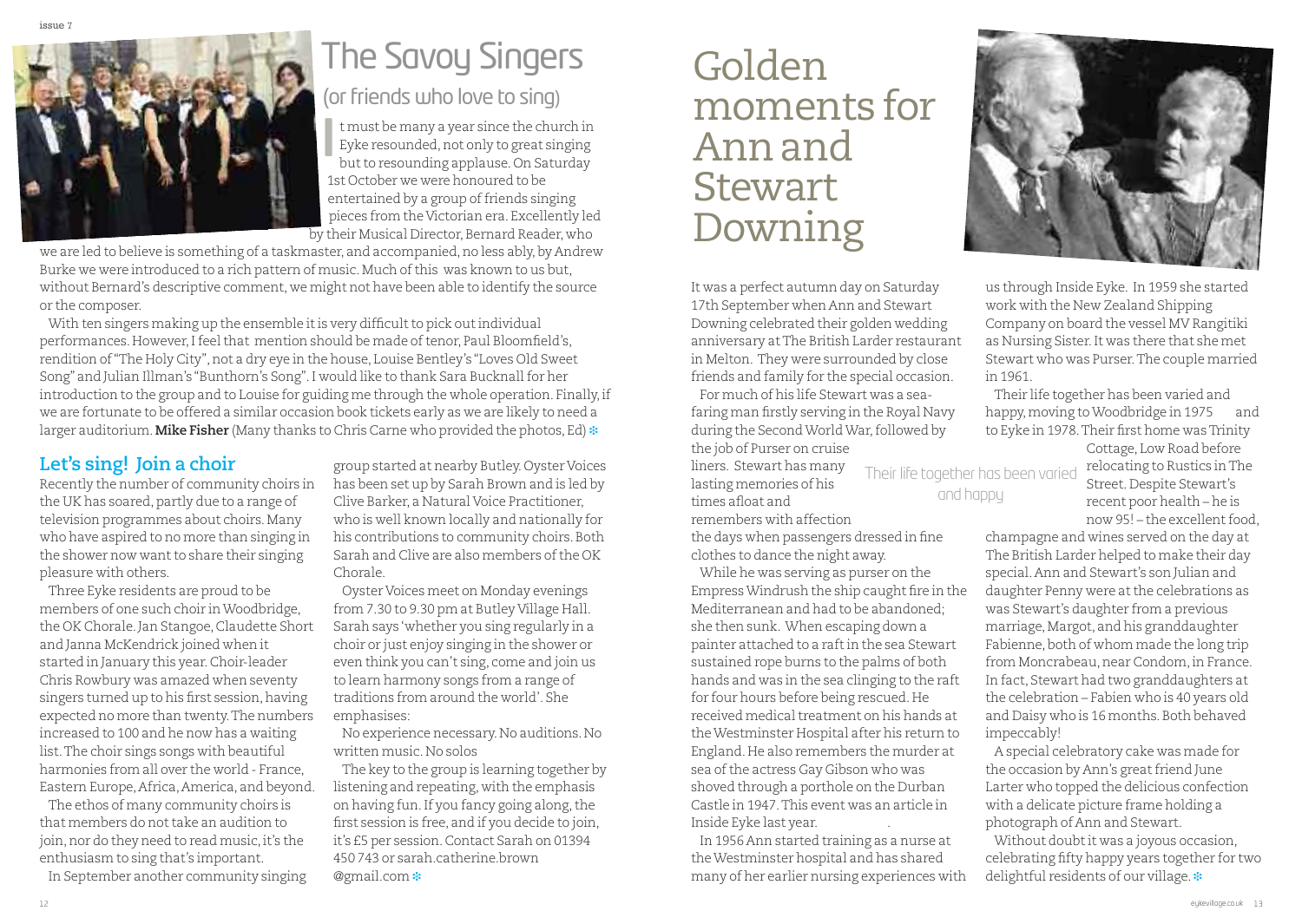

# The Savoy Singers

### (or friends who love to sing)

t must be many a year since the church in Eyke resounded, not only to great singing but to resounding applause. On Saturday 1st October we were honoured to be entertained by a group of friends singing pieces from the Victorian era. Excellently led by their Musical Director, Bernard Reader, who **I**

we are led to believe is something of a taskmaster, and accompanied, no less ably, by Andrew Burke we were introduced to a rich pattern of music. Much of this was known to us but, without Bernard's descriptive comment, we might not have been able to identify the source or the composer.

With ten singers making up the ensemble it is very difficult to pick out individual performances.However,Ifeelthat mention should be made oftenor, Paul Bloomfield's, rendition of "The Holy City", not a dry eye in the house, Louise Bentley's "Loves Old Sweet Song" and Julian Illman's "Bunthorn's Song". I would like to thank Sara Bucknall for her introduction to the group and to Louise for guiding me through the whole operation. Finally,if we are fortunate to be offered a similar occasion book tickets early as we are likely to need a larger auditorium.**Mike Fisher** (Many thanks to Chris Carne who provided the photos, Ed) **❉**

#### **Let's sing! Join a choir**

Recently the number of community choirs in the UK has soared, partly due to a range of television programmes about choirs.Many who have aspired to no more than singing in the shower now want to share their singing pleasure with others.

Three Eyke residents are proud to be members of one such choir inWoodbridge, the OK Chorale. Jan Stangoe, Claudette Short and Janna McKendrick joined when it started in January this year.Choir-leader Chris Rowbury was amazed when seventy singers turned up to his first session, having expected no more than twenty.The numbers increased to 100 and he now has a waiting list.The choir sings songs with beautiful harmonies from all over the world - France, Eastern Europe,Africa,America, and beyond.

The ethos of many community choirs is that members do not take an audition to join, nor do they need to read music, it's the enthusiasm to sing that's important.

In September another community singing

group started at nearby Butley.Oyster Voices has been set up by Sarah Brown and is led by Clive Barker, a Natural Voice Practitioner, who is well known locally and nationally for his contributions to community choirs. Both Sarah and Clive are also members of the OK Chorale.

Oyster Voices meet on Monday evenings from 7.30 to 9.30 pm at Butley Village Hall. Sarah says 'whether you sing regularly in a choir or just enjoy singing in the shower or even think you can't sing, come and join us to learn harmony songs from a range of traditions from around the world'. She emphasises:

No experience necessary.No auditions.No written music.No solos

The key to the group is learning together by listening and repeating, with the emphasis on having fun. If you fancy going along, the first session is free, and if you decide to join, it's £5 per session.Contact Sarah on 01394 450 743 or sarah.catherine.brown @gmail.com **❉**

# Golden moments for Annand **Stewart** Downing

It was a perfect autumn day on Saturday 17th September when Ann and Stewart Downing celebrated their golden wedding anniversary atThe British Larder restaurant in Melton. They were surrounded by close friends and family for the special occasion.

For much of his life Stewart was a seafaring man firstly serving in the Royal Navy during the Second World War, followed by the job of Purser on cruise

and happy

liners. Stewart has many lasting memories of his times afloat and

remembers with affection

the days when passengers dressed in fine clothes to dance the night away.

While he was serving as purser on the EmpressWindrush the ship caught fire in the Mediterranean and had to be abandoned; she then sunk. When escaping down a painter attached to a raftin the sea Stewart sustained rope burns to the palms of both hands and was in the sea clinging to the raft for four hours before being rescued.He received medical treatment on his hands at theWestminster Hospital after his return to England.He also remembers the murder at sea of the actress Gay Gibson who was shoved through a porthole on the Durban Castle in 1947.This event was an article in Inside Eyke last year. .

In 1956 Ann started training as a nurse at theWestminster hospital and has shared many of her earlier nursing experiences with



us through Inside Eyke. In 1959 she started work with the New Zealand Shipping Company on board the vessel MV Rangitiki as Nursing Sister.It was there that she met Stewart who was Purser.The couple married in 1961.

Their life together has been varied and happy,moving toWoodbridge in 1975 and to Eyke in 1978. Their first home was Trinity Cottage, Low Road before

Their life together has been varied relocating to Rustics in The Street.Despite Stewart's recent poor health – he is now 95! – the excellent food.

> champagne and wines served on the day at The British Larder helped to make their day special.Ann and Stewart's son Julian and daughter Penny were at the celebrations as was Stewart's daughter from a previous marriage,Margot, and his granddaughter Fabienne, both of whom made the long trip from Moncrabeau, near Condom, in France. In fact, Stewart had two granddaughters at the celebration – Fabien who is 40 years old and Daisy who is 16 months. Both behaved impeccably!

A special celebratory cake was made for the occasion by Ann's great friend June Larter who topped the delicious confection with a delicate picture frame holding a photograph of Ann and Stewart.

Without doubt it was a joyous occasion, celebrating fifty happy years together for two delightful residents of our village. **❉**

12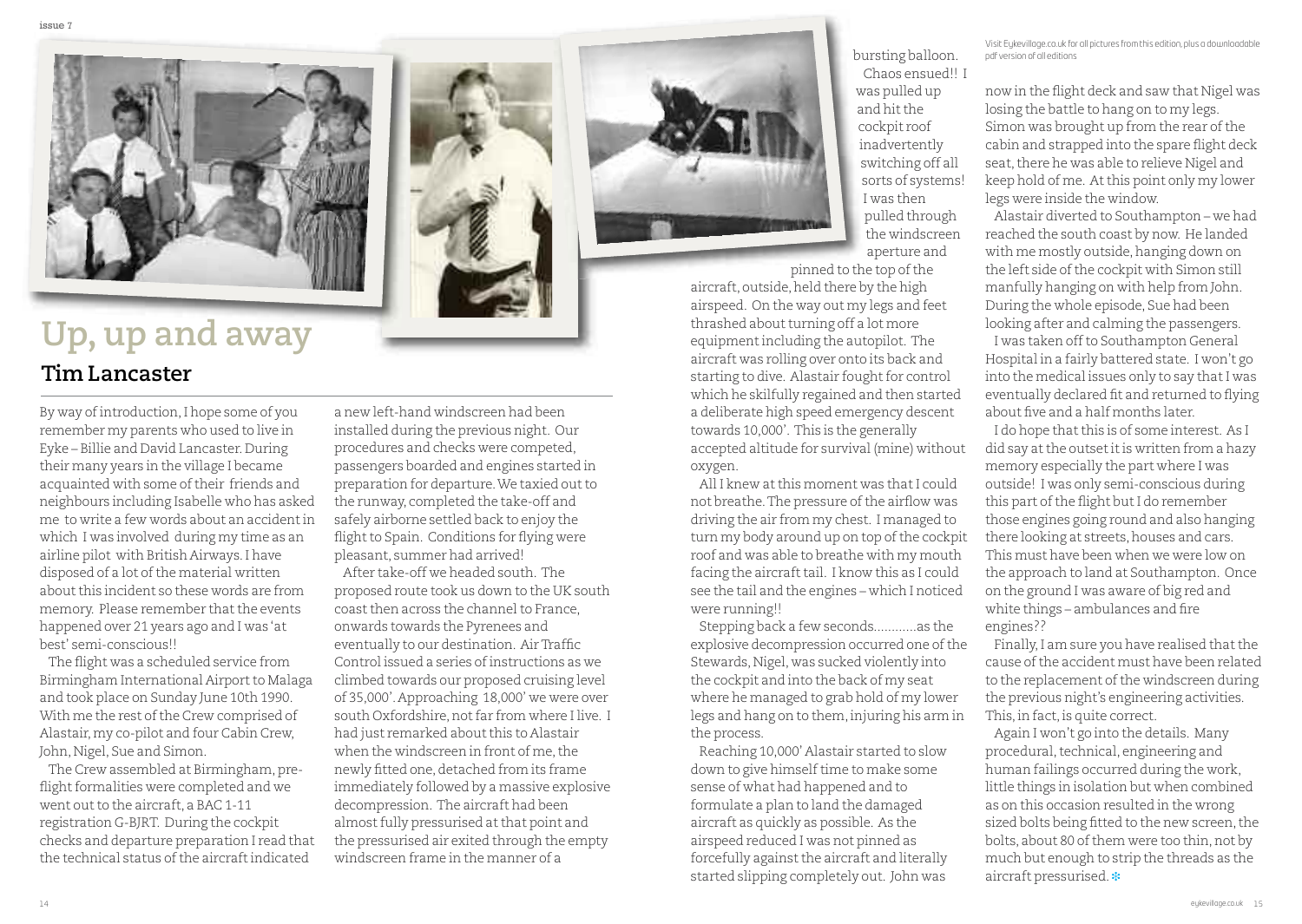

## **Up,up and away**

### **Tim Lancaster**

By way of introduction, I hope some of you remember my parents who used to live in Eyke – Billie and David Lancaster.During their many years in the village I became acquainted with some of their friends and neighbours including Isabelle who has asked me to write a few words about an accidentin which I was involved during my time as an airline pilot with British Airways.I have disposed of a lot of the material written about this incident so these words are from memory. Please remember that the events happened over 21 years ago and I was 'at best' semi-conscious!!

The flight was a scheduled service from Birmingham International Airport to Malaga and took place on Sunday June 10th 1990. With me the rest of the Crew comprised of Alastair,my co-pilot and four Cabin Crew, John, Nigel, Sue and Simon.

The Crew assembled at Birmingham, preflight formalities were completed and we went out to the aircraft, a BAC 1-11 registration G-BJRT. During the cockpit checks and departure preparation I read that the technical status ofthe aircraftindicated

a new left-hand windscreen had been installed during the previous night. Our procedures and checks were competed, passengers boarded and engines started in preparation for departure. We taxied out to the runway, completed the take-off and safely airborne settled back to enjoy the flight to Spain. Conditions for flying were pleasant, summer had arrived!

After take-off we headed south. The proposed route took us down to the UK south coast then across the channel to France, onwards towards the Pyrenees and eventually to our destination. AirTraffic Control issued a series ofinstructions as we climbed towards our proposed cruising level of 35,000'.Approaching 18,000' we were over south Oxfordshire, not far from where I live. I had just remarked about this to Alastair when the windscreen in front of me, the newly fitted one, detached from its frame immediately followed by a massive explosive decompression. The aircraft had been almost fully pressurised at that point and the pressurised air exited through the empty windscreen frame in the manner of a



bursting balloon. Chaos ensued!! I was pulled up and hit the cockpit roof inadvertently switching off all sorts of systems! I was then pulled through the windscreen aperture and

pinned to the top of the aircraft, outside, held there by the high airspeed. On the way out my legs and feet thrashed about turning off a lot more equipmentincluding the autopilot. The aircraft was rolling over onto its back and starting to dive. Alastair fought for control which he skilfully regained and then started a deliberate high speed emergency descent towards 10,000'. This is the generally accepted altitude for survival (mine) without oxygen.

All I knew at this moment was that I could not breathe. The pressure of the airflow was driving the air from my chest. I managed to turn my body around up on top of the cockpit roof and was able to breathe with my mouth facing the aircraft tail. I know this as I could see the tail and the engines – which I noticed were running!!

Stepping back a few seconds............as the explosive decompression occurred one of the Stewards, Nigel, was sucked violently into the cockpit and into the back of my seat where he managed to grab hold of my lower legs and hang on to them, injuring his arm in the process.

Reaching 10,000' Alastair started to slow down to give himself time to make some sense of what had happened and to formulate a plan to land the damaged aircraft as quickly as possible. As the airspeed reduced I was not pinned as forcefully against the aircraft and literally started slipping completely out. John was

Visit [Eykevillage.co.uk](http://www.eykevillage.co.uk) for all pictures from this edition, plus a downloadable pdf version of all editions

now in the flight deck and saw that Nigel was losing the battle to hang on to my legs. Simon was brought up from the rear of the cabin and strapped into the spare flight deck seat, there he was able to relieve Nigel and keep hold of me. Atthis point only my lower legs were inside the window.

Alastair diverted to Southampton – we had reached the south coast by now. He landed with me mostly outside, hanging down on the left side of the cockpit with Simon still manfully hanging on with help from John. During the whole episode, Sue had been looking after and calming the passengers.

I was taken offto Southampton General Hospital in a fairly battered state. I won't go into the medical issues only to say that I was eventually declared fit and returned to flying about five and a half months later.

I do hope that this is of some interest. As I did say at the outset it is written from a hazy memory especially the part where I was outside! I was only semi-conscious during this part of the flight but I do remember those engines going round and also hanging there looking at streets, houses and cars. This must have been when we were low on the approach to land at Southampton. Once on the ground I was aware of big red and white things – ambulances and fire engines??

Finally, I am sure you have realised that the cause ofthe accident must have been related to the replacement of the windscreen during the previous night's engineering activities. This, in fact, is quite correct.

Again I won't go into the details. Many procedural, technical, engineering and human failings occurred during the work, little things in isolation but when combined as on this occasion resulted in the wrong sized bolts being fitted to the new screen, the bolts, about 80 of them were too thin, not by much but enough to strip the threads as the aircraft pressurised. **❉**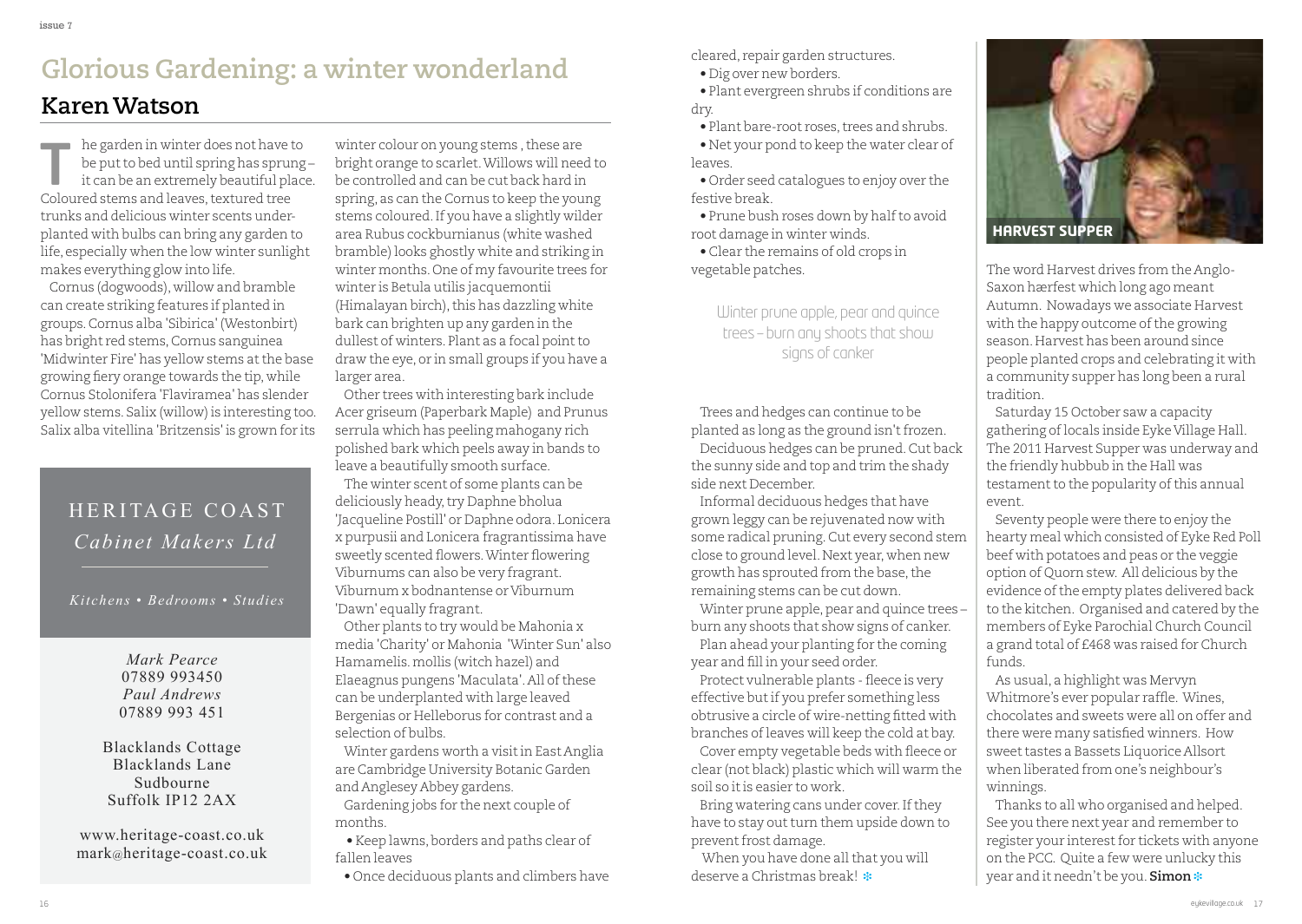### **Glorious Gardening: a winter wonderland KarenWatson**

he garden in winter does not have to be putto bed until spring has sprung – it can be an extremely beautiful place. In the garden in winter does not have<br>be put to bed until spring has spru<br>it can be an extremely beautiful pl<br>Coloured stems and leaves, textured tree trunks and delicious winter scents underplanted with bulbs can bring any garden to life, especially when the low winter sunlight makes everything glow into life.

Cornus (dogwoods), willow and bramble can create striking features if planted in groups.Cornus alba 'Sibirica' (Westonbirt) has bright red stems,Cornus sanguinea 'Midwinter Fire' has yellow stems at the base growing fiery orange towards the tip, while Cornus Stolonifera 'Flaviramea' has slender yellow stems. Salix (willow) is interesting too. Salix alba vitellina 'Britzensis' is grown for its

### HERITAGE COAST *Cabinet Makers Ltd*

*Kitchens • Bedrooms • Studies*

*Mark Pearce* 07889 993450 *Paul Andrews* 07889 993 451

blacklands Cottage blacklands lane Sudbourne Suffolk iP12 2aX

www.heritage-coast.co.uk mark@heritage-coast.co.uk

winter colour on young stems, these are bright orange to scarlet.Willows will need to be controlled and can be cut back hard in spring, as can the Cornus to keep the young stems coloured.If you have a slightly wilder area Rubus cockburnianus (white washed bramble) looks ghostly white and striking in winter months.One of my favourite trees for winter is Betula utilis jacquemontii (Himalayan birch), this has dazzling white bark can brighten up any garden in the dullest of winters. Plant as a focal pointto draw the eye, or in small groups if you have a larger area.

Other trees with interesting bark include Acer griseum (Paperbark Maple) and Prunus serrula which has peeling mahogany rich polished bark which peels away in bands to leave a beautifully smooth surface. The winter scent of some plants can be deliciously heady, try Daphne bholua 'Jacqueline Postill' or Daphne odora. Lonicera x purpusii and Lonicera fragrantissima have sweetly scented flowers.Winter flowering Viburnums can also be very fragrant. Viburnum x bodnantense or Viburnum 'Dawn' equally fragrant.

Other plants to try would be Mahonia x media 'Charity' or Mahonia 'Winter Sun' also Hamamelis.mollis (witch hazel) and Elaeagnus pungens 'Maculata'. All of these can be underplanted with large leaved Bergenias or Helleborus for contrast and a selection of bulbs.

Winter gardens worth a visitin East Anglia are Cambridge University Botanic Garden and Anglesey Abbey gardens. Gardening jobs for the next couple of

months.

• Keep lawns,borders and paths clear of fallen leaves

• Once deciduous plants and climbers have

cleared, repair garden structures.

• Dig over new borders.

• Plant evergreen shrubs if conditions are dry.

 $\bullet$  Plant bare-root roses, trees and shrubs.

• Net your pond to keep the water clear of leaves.

• Order seed catalogues to enjoy over the festive break.

• Prune bush roses down by half to avoid root damage in winter winds.

• Clear the remains of old crops in vegetable patches.

> Winter prune apple, pear and quince trees – burn any shoots that show signs of canker

Trees and hedges can continue to be planted as long as the ground isn't frozen. Deciduous hedges can be pruned.Cut back

the sunny side and top and trim the shady side next December.

Informal deciduous hedges that have grown leggy can be rejuvenated now with some radical pruning.Cut every second stem close to ground level.Next year, when new growth has sprouted from the base, the remaining stems can be cut down.

Winter prune apple, pear and quince trees burn any shoots that show signs of canker. Plan ahead your planting for the coming

year and fill in your seed order.

Protect vulnerable plants - fleece is very effective butif you prefer something less obtrusive a circle of wire-netting fitted with branches ofleaves will keep the cold at bay.

Cover empty vegetable beds with fleece or clear (not black) plastic which will warm the soil so itis easier to work.

Bring watering cans under cover. If they have to stay out turn them upside down to prevent frost damage.

When you have done all that you will deserve a Christmas break! **❉**



The word Harvest drives from the Anglo-Saxon hærfest which long ago meant Autumn. Nowadays we associate Harvest with the happy outcome of the growing season.Harvest has been around since people planted crops and celebrating it with a community supper has long been a rural tradition.

Saturday 15 October saw a capacity gathering oflocals inside Eyke Village Hall. The 2011 Harvest Supper was underway and the friendly hubbub in the Hall was testament to the popularity of this annual event.

Seventy people were there to enjoy the hearty meal which consisted of Eyke Red Poll beef with potatoes and peas or the veggie option of Quorn stew. All delicious by the evidence of the empty plates delivered back to the kitchen. Organised and catered by the members of Eyke Parochial Church Council a grand total of £468 was raised for Church funds.

As usual, a highlight was Mervyn Whitmore's ever popular raffle. Wines, chocolates and sweets were all on offer and there were many satisfied winners. How sweet tastes a Bassets Liquorice Allsort when liberated from one's neighbour's winnings.

Thanks to all who organised and helped. See you there next year and remember to register your interest for tickets with anyone on the PCC. Quite a few were unlucky this year and it needn't be you.**Simon ❉**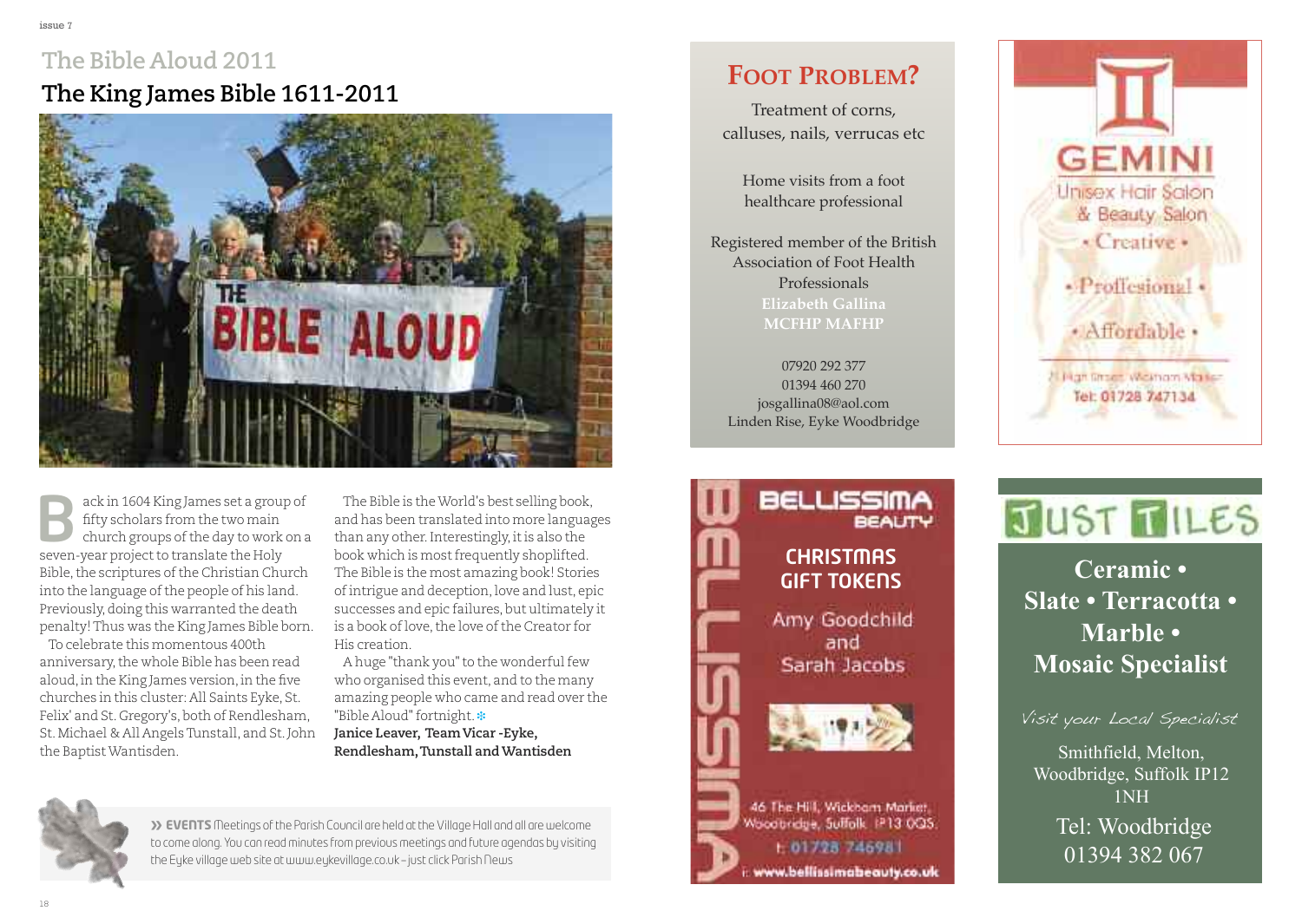### **The Bible Aloud 2011 The King James Bible 1611-2011**



ack in 1604 King James set a group of fifty scholars from the two main church groups of the day to work on a sexeric in 1604 King James set a group<br>fifty scholars from the two main<br>church groups of the day to work<br>seven-year project to translate the Holy Bible, the scriptures of the Christian Church into the language of the people of his land. Previously,doing this warranted the death penalty!Thus was the King James Bible born.

To celebrate this momentous 400th anniversary, the whole Bible has been read aloud,in the King James version,in the five churches in this cluster: All Saints Eyke, St. Felix' and St. Gregory's, both of Rendlesham, St.Michael & All AngelsTunstall, and St.John the BaptistWantisden.

The Bible is theWorld's best selling book, and has been translated into more languages than any other. Interestingly, it is also the book which is most frequently shoplifted. The Bible is the most amazing book! Stories ofintrigue and deception,love and lust, epic successes and epic failures, but ultimately it is a book of love, the love of the Creator for His creation.

A huge "thank you" to the wonderful few who organised this event, and to the many amazing people who came and read over the "Bible Aloud"fortnight. **❉**

**Janice Leaver, TeamVicar -Eyke, Rendlesham,Tunstall andWantisden**



**» EVENTS** Meetings of the Parish Council are held at the Village Hall and all are welcome to come along. You can read minutes from previous meetings and future agendas by visiting the Eyke village web site at [www.eykevillage.co.uk](http://www.eykevillage.co.uk) – just click Parish News

### **Foot problem?**

Treatment of corns, calluses, nails, verrucas etc

Home visits from a foot healthcare professional

Registered member of the British Association of Foot Health Professionals **elizabeth Gallina mCFHp mAFHp**

07920 292 377 01394 460 270 josgallina08@aol.com Linden Rise, Eyke Woodbridge

> **CHRISTMAS GIFT TOKENS**

Amy Goodchild and Sarah Jacobs

46 The Hill, Wickham Mariet, Woodbridge, Sulfolk IP13 0QS. t: 01728 746981 www.bellissimabeauty.co.uk

**BELLISSIMA** 

**BEAUTY** 



# JUST TILES

Mosaic Specialist **Mosaic Specialist Ceramic • Slate • Terracotta • Marble •**

Visit your Local Specialist

Smithfield, Melton, Woodbridge, Suffolk IP12 how much you can save! 1nH Tel: Woodbridge 01394 382 067